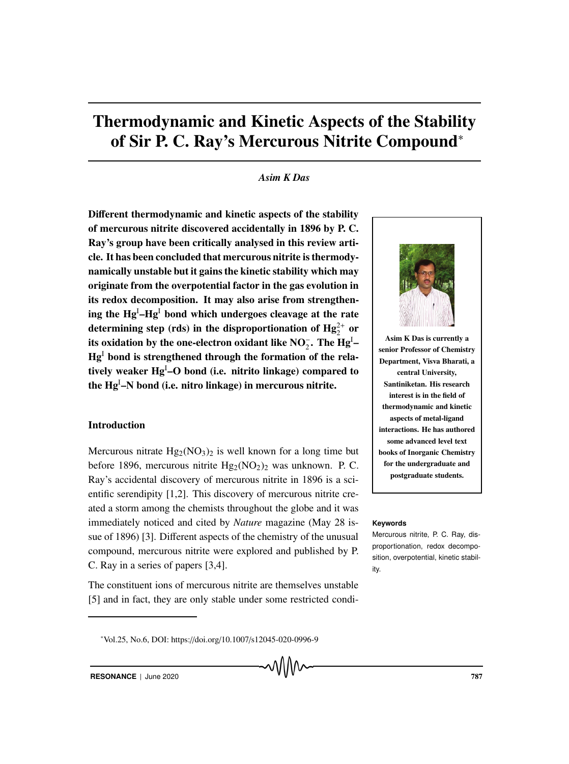# Thermodynamic and Kinetic Aspects of the Stability of Sir P. C. Ray's Mercurous Nitrite Compound<sup>∗</sup>

#### *Asim K Das*

Different thermodynamic and kinetic aspects of the stability of mercurous nitrite discovered accidentally in 1896 by P. C. Ray's group have been critically analysed in this review article. It has been concluded that mercurous nitrite is thermodynamically unstable but it gains the kinetic stability which may originate from the overpotential factor in the gas evolution in its redox decomposition. It may also arise from strengthening the  $\mathbf{Hg}^{\text{I}}\text{-}\mathbf{Hg}^{\text{I}}$  bond which undergoes cleavage at the rate determining step (rds) in the disproportionation of  $\mathrm{Hg_{2}^{2+}}$  or its oxidation by the one-electron oxidant like  $\mathrm{NO}_2^-$ . The  $\mathrm{Hg^I} Hg<sup>1</sup>$  bond is strengthened through the formation of the relatively weaker Hg<sup>I</sup>–O bond (i.e. nitrito linkage) compared to the Hg<sup>I</sup>–N bond (i.e. nitro linkage) in mercurous nitrite.

#### Introduction

Mercurous nitrate  $Hg_2(NO_3)_2$  is well known for a long time but before 1896, mercurous nitrite  $Hg_2(NO_2)_2$  was unknown. P. C. Ray's accidental discovery of mercurous nitrite in 1896 is a scientific serendipity [1,2]. This discovery of mercurous nitrite created a storm among the chemists throughout the globe and it was immediately noticed and cited by *Nature* magazine (May 28 is- **Keywords** sue of 1896) [3]. Different aspects of the chemistry of the unusual compound, mercurous nitrite were explored and published by P. C. Ray in a series of papers [3,4].

The constituent ions of mercurous nitrite are themselves unstable [5] and in fact, they are only stable under some restricted condi-



Asim K Das is currently a senior Professor of Chemistry Department, Visva Bharati, a central University, Santiniketan. His research interest is in the field of thermodynamic and kinetic aspects of metal-ligand interactions. He has authored some advanced level text books of Inorganic Chemistry for the undergraduate and postgraduate students.

Mercurous nitrite, P. C. Ray, disproportionation, redox decomposition, overpotential, kinetic stability.

<sup>∗</sup> Vol.25, No.6, DOI: https://doi.org/10.1007/s12045-020-0996-9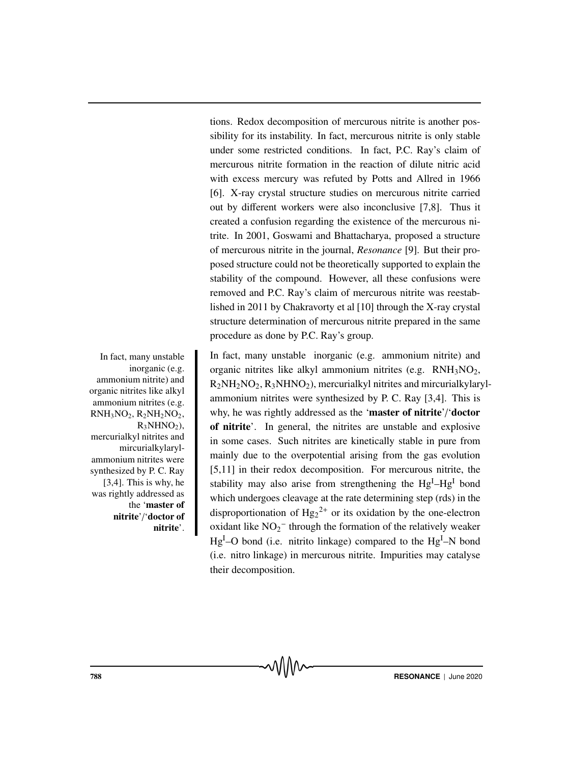tions. Redox decomposition of mercurous nitrite is another possibility for its instability. In fact, mercurous nitrite is only stable under some restricted conditions. In fact, P.C. Ray's claim of mercurous nitrite formation in the reaction of dilute nitric acid with excess mercury was refuted by Potts and Allred in 1966 [6]. X-ray crystal structure studies on mercurous nitrite carried out by different workers were also inconclusive [7,8]. Thus it created a confusion regarding the existence of the mercurous nitrite. In 2001, Goswami and Bhattacharya, proposed a structure of mercurous nitrite in the journal, *Resonance* [9]. But their proposed structure could not be theoretically supported to explain the stability of the compound. However, all these confusions were removed and P.C. Ray's claim of mercurous nitrite was reestablished in 2011 by Chakravorty et al [10] through the X-ray crystal structure determination of mercurous nitrite prepared in the same procedure as done by P.C. Ray's group.

In fact, many unstable In fact, many unstable inorganic (e.g. ammonium nitrite) and organic nitrites like alkyl ammonium nitrites (e.g.  $RNH_3NO_2$ ,  $R_2NH_2NO_2$ ,  $R_3NHNO_2$ ), mercurialkyl nitrites and mircurialkylarylammonium nitrites were synthesized by P. C. Ray [3,4]. This is why, he was rightly addressed as the 'master of nitrite'/'doctor of nitrite'. In general, the nitrites are unstable and explosive in some cases. Such nitrites are kinetically stable in pure from mainly due to the overpotential arising from the gas evolution [5,11] in their redox decomposition. For mercurous nitrite, the stability may also arise from strengthening the Hg<sup>I</sup>-Hg<sup>I</sup> bond which undergoes cleavage at the rate determining step (rds) in the disproportionation of  $Hg_2^{2+}$  or its oxidation by the one-electron oxidant like  $NO_2^-$  through the formation of the relatively weaker  $Hg<sup>I</sup>$ –O bond (i.e. nitrito linkage) compared to the  $Hg<sup>I</sup>$ –N bond (i.e. nitro linkage) in mercurous nitrite. Impurities may catalyse their decomposition.

inorganic (e.g. ammonium nitrite) and organic nitrites like alkyl ammonium nitrites (e.g.  $RNH<sub>3</sub>NO<sub>2</sub>, R<sub>2</sub>NH<sub>2</sub>NO<sub>2</sub>$  $R_3$ NHNO<sub>2</sub>), mercurialkyl nitrites and mircurialkylarylammonium nitrites were synthesized by P. C. Ray [3,4]. This is why, he was rightly addressed as the 'master of nitrite'/'doctor of nitrite'.

**TRESONANCE** | June 2020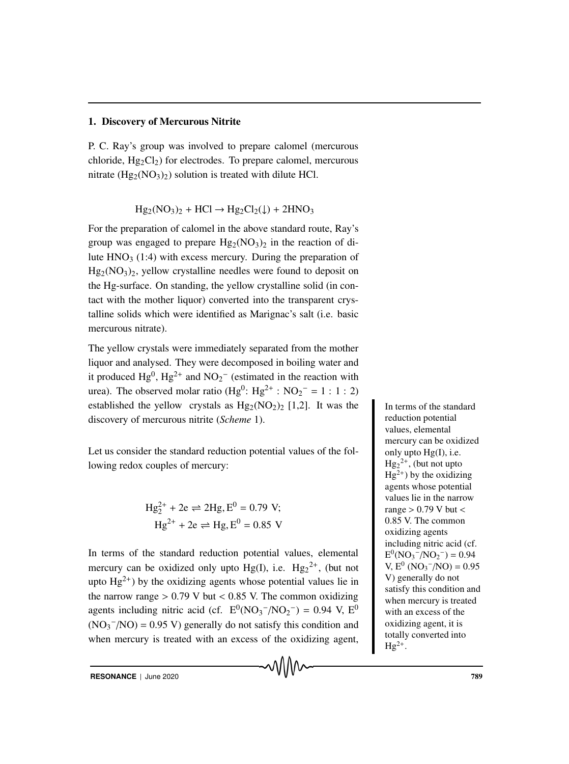#### 1. Discovery of Mercurous Nitrite

P. C. Ray's group was involved to prepare calomel (mercurous chloride,  $Hg_2Cl_2$ ) for electrodes. To prepare calomel, mercurous nitrate  $(Hg_2(NO_3)_2)$  solution is treated with dilute HCl.

$$
Hg_2(NO_3)_2 + HCl \rightarrow Hg_2Cl_2(\downarrow) + 2HNO_3
$$

For the preparation of calomel in the above standard route, Ray's group was engaged to prepare  $Hg_2(NO_3)_2$  in the reaction of dilute  $HNO<sub>3</sub>$  (1:4) with excess mercury. During the preparation of  $Hg_2(NO_3)_2$ , yellow crystalline needles were found to deposit on the Hg-surface. On standing, the yellow crystalline solid (in contact with the mother liquor) converted into the transparent crystalline solids which were identified as Marignac's salt (i.e. basic mercurous nitrate).

The yellow crystals were immediately separated from the mother liquor and analysed. They were decomposed in boiling water and it produced  $Hg^0$ ,  $Hg^{2+}$  and  $NO_2^-$  (estimated in the reaction with urea). The observed molar ratio  $(Hg^0: Hg^{2+}: NO_2^- = 1: 1: 2)$ established the yellow crystals as  $Hg_2(NO_2)_2$  [1,2]. It was the Interms of the standard discovery of mercurous nitrite (*Scheme* 1).

Let us consider the standard reduction potential values of the following redox couples of mercury:

Hg2<sup>+</sup> <sup>2</sup> <sup>+</sup> 2e 2Hg, <sup>E</sup><sup>0</sup> <sup>=</sup> <sup>0</sup>.79 V; Hg2<sup>+</sup> + 2e Hg, E<sup>0</sup> = 0.85 V

In terms of the standard reduction potential values, elemental mercury can be oxidized only upto  $Hg(I)$ , i.e.  $Hg_2^{2+}$ , (but not upto  $Hg^{2+}$ ) by the oxidizing agents whose potential values lie in the narrow range  $> 0.79$  V but  $< 0.85$  V. The common oxidizing agents including nitric acid (cf.  $E^{0}(NO_{3}^{-}/NO_{2}^{-}) = 0.94$  V,  $E^{0}$  $(NO<sub>3</sub><sup>-</sup>/NO) = 0.95 V)$  generally do not satisfy this condition and when mercury is treated with an excess of the oxidizing agent,

MMM

reduction potential values, elemental mercury can be oxidized only upto Hg(I), i.e.  $Hg_2^2$ <sup>+</sup>, (but not upto  $Hg^{2+}$ ) by the oxidizing agents whose potential values lie in the narrow range  $> 0.79$  V but  $<$ 0.85 V. The common oxidizing agents including nitric acid (cf.  $E^0(NO_3^-/NO_2^-) = 0.94$  $V, E^0 (NO_3^-/NO) = 0.95$ V) generally do not satisfy this condition and when mercury is treated with an excess of the oxidizing agent, it is totally converted into  $Hg^{2+}$ .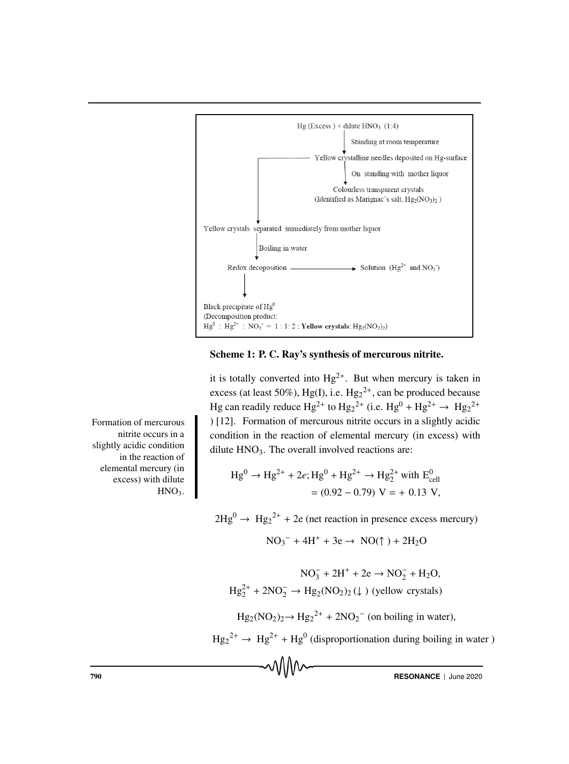

Scheme 1: P. C. Ray's synthesis of mercurous nitrite.

it is totally converted into  $Hg^{2+}$ . But when mercury is taken in excess (at least 50%), Hg(I), i.e.  $Hg_2^{2+}$ , can be produced because Hg can readily reduce  $\text{Hg}^{2+}$  to  $\text{Hg}_2^{2+}$  (i.e.  $\text{Hg}^0 + \text{Hg}^{2+} \rightarrow \text{Hg}_2^{2+}$ Formation of mercurous nitrite occurs in a slightly acidic condition in the reaction of elemental mercury (in excess) with dilute  $HNO<sub>3</sub>$ . The overall involved reactions are:

Hg<sup>0</sup> <sup>→</sup> Hg2<sup>+</sup> <sup>+</sup> <sup>2</sup>*e*; Hg<sup>0</sup> <sup>+</sup> Hg2<sup>+</sup> <sup>→</sup> Hg2<sup>+</sup> <sup>2</sup> with E<sup>0</sup> cell = (0.92 − 0.79) V = + 0.13 V,

 $2Hg^0 \rightarrow Hg_2^{2+} + 2e$  (net reaction in presence excess mercury)

 $NO_3^- + 4H^+ + 3e \rightarrow NO(\uparrow) + 2H_2O$ 

$$
NO_3^- + 2H^+ + 2e \rightarrow NO_2^- + H_2O,
$$
  

$$
Hg_2^{2+} + 2NO_2^- \rightarrow Hg_2(NO_2)_2 (\downarrow)
$$
 (yellow crystals)

 $Hg_2(NO_2)_2 \rightarrow Hg_2^{2+} + 2NO_2^-$  (on boiling in water),

 $\text{Hg}_2^{2+} \rightarrow \text{Hg}^{2+} + \text{Hg}^{0}$  (disproportionation during boiling in water)

Formation of mercurous nitrite occurs in a slightly acidic condition in the reaction of elemental mercury (in excess) with dilute  $HNO<sub>3</sub>$ .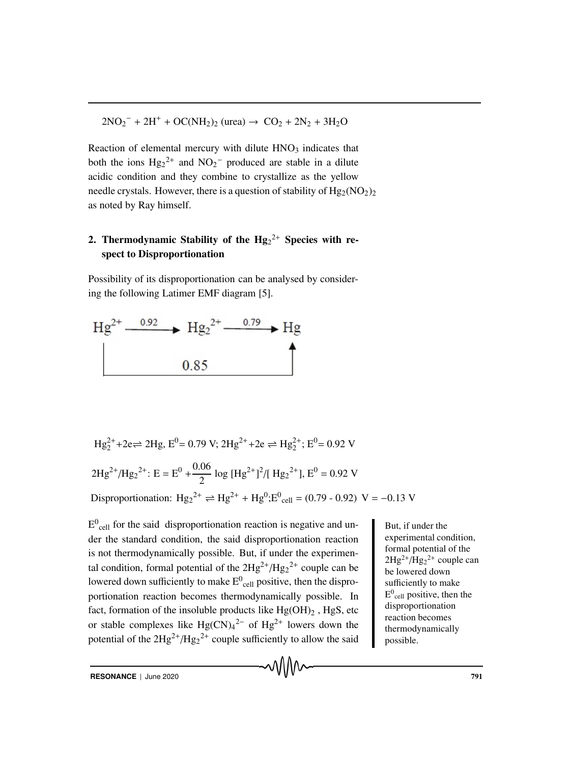$2NO_2^- + 2H^+ + OC(NH_2)_2$  (urea)  $\rightarrow CO_2 + 2N_2 + 3H_2O$ 

Reaction of elemental mercury with dilute  $HNO<sub>3</sub>$  indicates that both the ions  $Hg_2^{2+}$  and  $NO_2^-$  produced are stable in a dilute acidic condition and they combine to crystallize as the yellow needle crystals. However, there is a question of stability of  $Hg_2(NO_2)$ as noted by Ray himself.

# 2. Thermodynamic Stability of the  $Hg_2^{2+}$  Species with respect to Disproportionation

Possibility of its disproportionation can be analysed by considering the following Latimer EMF diagram [5].



Hg<sub>2</sub><sup>2+</sup>+2e⇒ 2Hg, E<sup>0</sup> = 0.79 V; 2Hg<sup>2+</sup>+2e ⇒ Hg<sub>2</sub><sup>2+</sup>; E<sup>0</sup> = 0.92 V  
2Hg<sup>2+</sup>/Hg<sub>2</sub><sup>2+</sup>: E = E<sup>0</sup> + 
$$
\frac{0.06}{2}
$$
 log [Hg<sup>2+</sup>]<sup>2</sup>/[ Hg<sub>2</sub><sup>2+</sup>], E<sup>0</sup> = 0.92 V  
Disproportionation: Hg<sub>2</sub><sup>2+</sup> ⇒ Hg<sup>2+</sup> + Hg<sup>0</sup>; E<sup>0</sup><sub>cell</sub> = (0.79 - 0.92) V = -0.13 V

 $E^0$ <sub>cell</sub> for the said disproportionation reaction is negative and un-<br>But, if under the der the standard condition, the said disproportionation reaction is not thermodynamically possible. But, if under the experimental condition, formal potential of the  $2Hg^{2+}/Hg_2^{2+}$  couple can be lowered down sufficiently to make  $\mathrm{E^{0}}_{\mathrm{cell}}$  positive, then the disproportionation reaction becomes thermodynamically possible. In fact, formation of the insoluble products like  $Hg(OH)_2$ ,  $HgS$ , etc or stable complexes like  $Hg(CN)_{4}^{2-}$  of  $Hg^{2+}$  lowers down the potential of the  $2Hg^{2+}/Hg_2^{2+}$  couple sufficiently to allow the said

experimental condition, formal potential of the  $2Hg^{2+}/Hg_2^{2+}$  couple can be lowered down sufficiently to make  $E^0$ <sub>cell</sub> positive, then the disproportionation reaction becomes thermodynamically possible.

**RESONANCE** | June 2020 **791**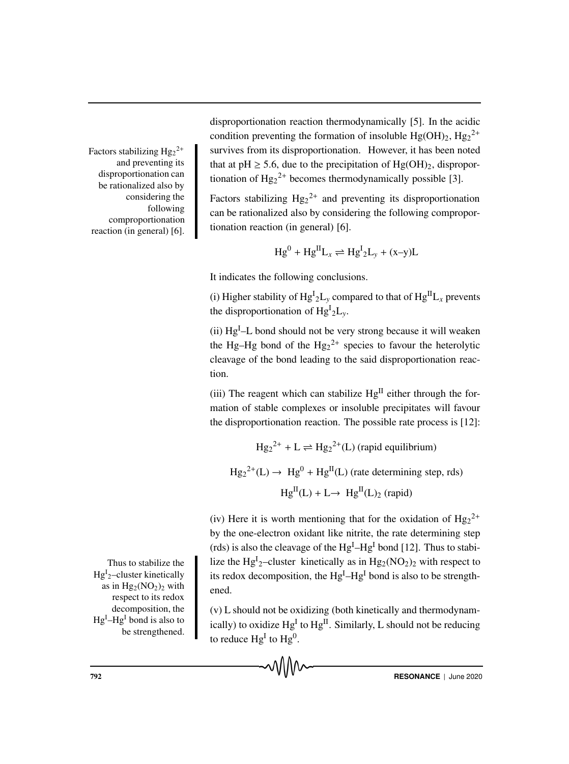Factors stabilizing  $\text{Hg}_2^{2+}$ and preventing its disproportionation can be rationalized also by considering the following comproportionation reaction (in general) [6].

Hg<sup>I</sup><sub>2</sub>-cluster kinetically as in  $Hg_2(NO_2)_2$  with respect to its redox decomposition, the Hg<sup>I</sup>–Hg<sup>I</sup> bond is also to be strengthened.

disproportionation reaction thermodynamically [5]. In the acidic condition preventing the formation of insoluble  $Hg(OH)_2$ ,  $Hg_2^{2+}$ Factors stabilizing  $Hg_2^{2+}$  survives from its disproportionation. However, it has been noted that at pH  $\geq$  5.6, due to the precipitation of Hg(OH)<sub>2</sub>, disproportionation of  $Hg_2^{2+}$  becomes thermodynamically possible [3].

> Factors stabilizing  $Hg_2^{2+}$  and preventing its disproportionation can be rationalized also by considering the following comproportionation reaction (in general) [6].

$$
Hg^{0} + Hg^{II}L_{x} \rightleftharpoons Hg^{I}{}_{2}L_{y} + (x-y)L
$$

It indicates the following conclusions.

(i) Higher stability of  $Hg^{I_2}L_y$  compared to that of  $Hg^{II}L_x$  prevents the disproportionation of  $Hg^{I}{}_{2}L_{y}$ .

 $(iii)$  Hg<sup>I</sup> $-L$  bond should not be very strong because it will weaken the Hg–Hg bond of the  $Hg_2^{2+}$  species to favour the heterolytic cleavage of the bond leading to the said disproportionation reaction.

(iii) The reagent which can stabilize  $Hg<sup>II</sup>$  either through the formation of stable complexes or insoluble precipitates will favour the disproportionation reaction. The possible rate process is [12]:

 $\text{Hg}_2^{2+} + \text{L} \rightleftharpoons \text{Hg}_2^{2+}(\text{L})$  (rapid equilibrium)

$$
Hg_2^{2+}(L) \to Hg^0 + Hg^{II}(L)
$$
 (rate determining step, rds)  

$$
Hg^{II}(L) + L \to Hg^{II}(L)_2
$$
 (rapid)

(iv) Here it is worth mentioning that for the oxidation of  $Hg_2^{2+}$ by the one-electron oxidant like nitrite, the rate determining step (rds) is also the cleavage of the  $Hg<sup>I</sup>-Hg<sup>I</sup>$  bond [12]. Thus to stabi-Thus to stabilize the  $\parallel$  lize the Hg<sup>I</sup><sub>2</sub>-cluster kinetically as in Hg<sub>2</sub>(NO<sub>2</sub>)<sub>2</sub> with respect to its redox decomposition, the  $Hg<sup>I</sup>-Hg<sup>I</sup>$  bond is also to be strengthened.

> (v) L should not be oxidizing (both kinetically and thermodynamically) to oxidize  $Hg<sup>I</sup>$  to  $Hg<sup>II</sup>$ . Similarly, L should not be reducing to reduce  $Hg<sup>I</sup>$  to  $Hg<sup>0</sup>$ .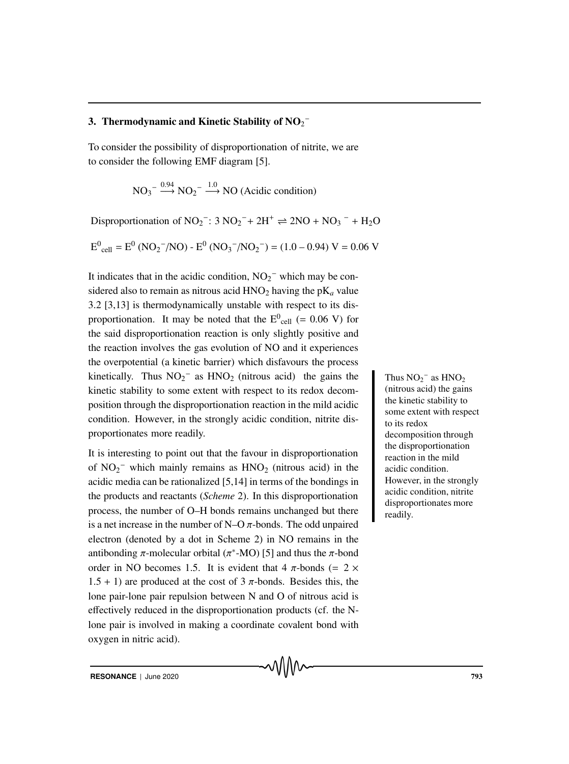### 3. Thermodynamic and Kinetic Stability of  $\mathbf{NO_2}^-$

To consider the possibility of disproportionation of nitrite, we are to consider the following EMF diagram [5].

$$
NO_3^- \xrightarrow{0.94} NO_2^- \xrightarrow{1.0} NO
$$
 (Acidic condition)

Disproportionation of  $NO_2^-$ : 3  $NO_2^-$  +  $2H^+$   $\rightleftharpoons$   $2NO + NO_3^- + H_2O$ 

 $E^0_{cell} = E^0 (NO_2^-/NO) - E^0 (NO_3^-/NO_2^-) = (1.0 - 0.94) V = 0.06 V$ 

It indicates that in the acidic condition,  $NO_2^-$  which may be considered also to remain as nitrous acid  $HNO<sub>2</sub>$  having the  $pK<sub>a</sub>$  value 3.2 [3,13] is thermodynamically unstable with respect to its disproportionation. It may be noted that the  $E^0_{cell}$  (= 0.06 V) for the said disproportionation reaction is only slightly positive and the reaction involves the gas evolution of NO and it experiences the overpotential (a kinetic barrier) which disfavours the process kinetically. Thus  $NO_2^-$  as  $HNO_2$  (nitrous acid) the gains the Thus  $NO_2$ kinetic stability to some extent with respect to its redox decomposition through the disproportionation reaction in the mild acidic condition. However, in the strongly acidic condition, nitrite disproportionates more readily.

It is interesting to point out that the favour in disproportionation of  $NO_2^-$  which mainly remains as  $HNO_2$  (nitrous acid) in the acidic media can be rationalized [5,14] in terms of the bondings in the products and reactants (*Scheme* 2). In this disproportionation process, the number of O–H bonds remains unchanged but there is a net increase in the number of N–O  $\pi$ -bonds. The odd unpaired electron (denoted by a dot in Scheme 2) in NO remains in the antibonding π-molecular orbital ( $π$ <sup>\*</sup>-MO) [5] and thus the π-bond order in NO becomes 1.5. It is evident that 4  $\pi$ -bonds (= 2  $\times$  $1.5 + 1$ ) are produced at the cost of 3  $\pi$ -bonds. Besides this, the lone pair-lone pair repulsion between N and O of nitrous acid is effectively reduced in the disproportionation products (cf. the Nlone pair is involved in making a coordinate covalent bond with oxygen in nitric acid).

Thus  $NO_2^-$  as  $HNO_2$ (nitrous acid) the gains the kinetic stability to some extent with respect to its redox decomposition through the disproportionation reaction in the mild acidic condition. However, in the strongly acidic condition, nitrite disproportionates more readily.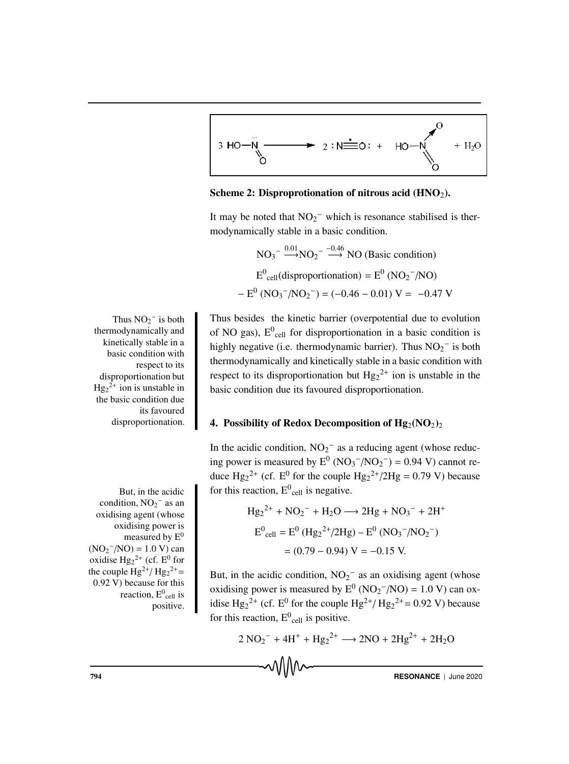

Scheme 2: Disproprotionation of nitrous acid  $(HNO<sub>2</sub>)$ .

It may be noted that  $NO<sub>2</sub><sup>-</sup>$  which is resonance stabilised is thermodynamically stable in a basic condition.

NO<sub>3</sub><sup>-</sup> 
$$
\xrightarrow{0.01}
$$
NO<sub>2</sub><sup>-</sup>  $\xrightarrow{-0.46}$  NO (Basic condition)  
\n $E^0_{cell}$ (disproportionation) =  $E^0$  (NO<sub>2</sub><sup>-</sup>/NO)  
\n-  $E^0$  (NO<sub>3</sub><sup>-</sup>/NO<sub>2</sub><sup>-</sup>) = (-0.46 - 0.01) V = -0.47 V

Thus besides the kinetic barrier (overpotential due to evolution of NO gas),  $E^0$ <sub>cell</sub> for disproportionation in a basic condition is highly negative (i.e. thermodynamic barrier). Thus  $NO_2^-$  is both thermodynamically and kinetically stable in a basic condition with respect to its disproportionation but  $Hg_2^{2+}$  ion is unstable in the basic condition due its favoured disproportionation.

#### 4. Possibility of Redox Decomposition of  $Hg_2(NO_2)$

In the acidic condition,  $NO<sub>2</sub><sup>-</sup>$  as a reducing agent (whose reducing power is measured by  $E^0 (NO_3^-/NO_2^-) = 0.94$  V) cannot reduce  $Hg_2^{2+}$  (cf. E<sup>0</sup> for the couple  $Hg_2^{2+}/2Hg = 0.79$  V) because But, in the acidic  $\int$  for this reaction,  $E^0_{cell}$  is negative.

Hg2 <sup>2</sup><sup>+</sup> + NO2 <sup>−</sup> + H2O −→ 2Hg + NO3 <sup>−</sup> + 2H<sup>+</sup> E0 cell = E<sup>0</sup> (Hg2 <sup>2</sup>+/2Hg) – E<sup>0</sup> (NO3 <sup>−</sup>/NO2 −) = (0.79 − 0.94) V = −0.15 V.

But, in the acidic condition,  $NO<sub>2</sub><sup>-</sup>$  as an oxidising agent (whose oxidising power is measured by  $E^0 (NO_2^-/NO) = 1.0 V)$  can oxidise Hg<sub>2</sub><sup>2+</sup> (cf. E<sup>0</sup> for the couple Hg<sup>2+</sup>/ Hg<sub>2</sub><sup>2+</sup> = 0.92 V) because for this reaction,  $E^0_{cell}$  is positive.

 $2 \text{ NO}_2^- + 4\text{H}^+ + \text{Hg}_2^2 + \longrightarrow 2\text{NO} + 2\text{Hg}^{2+} + 2\text{H}_2\text{O}$ 

√∖∖∖∧∼

794 **RESONANCE** | June 2020

Thus  $NO_2^-$  is both Thus besides thermodynamically and kinetically stable in a basic condition with respect to its disproportionation but  $Hg_2^2$  ion is unstable in the basic condition due its favoured disproportionation.

condition,  $NO<sub>2</sub><sup>-</sup>$  as an oxidising agent (whose oxidising power is measured by  $E^0$  $(NO<sub>2</sub><sup>-</sup>/NO) = 1.0 V) can$ oxidise  $Hg_2^{2+}$  (cf.  $E^0$  for the couple  $\text{Hg}^{2+}/\text{Hg}_2^{2+}$ 0.92 V) because for this reaction,  $E^0$ <sub>cell</sub> is positive.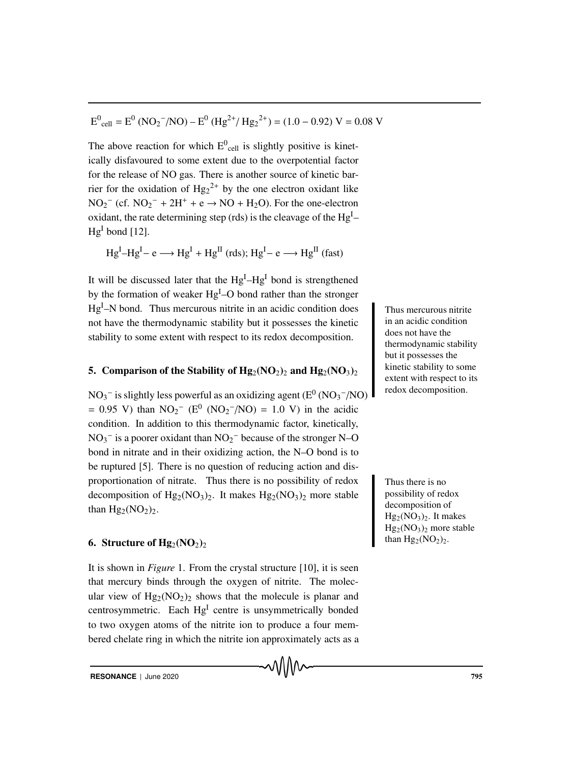$$
E^0_{cell} = E^0 (NO_2^-/NO) - E^0 (Hg^{2+}/Hg_2^{2+}) = (1.0 - 0.92) V = 0.08 V
$$

The above reaction for which  $E^0$ <sub>cell</sub> is slightly positive is kinetically disfavoured to some extent due to the overpotential factor for the release of NO gas. There is another source of kinetic barrier for the oxidation of  $Hg_2^{2+}$  by the one electron oxidant like  $NO_2^-$  (cf.  $NO_2^- + 2H^+ + e \rightarrow NO + H_2O$ ). For the one-electron oxidant, the rate determining step (rds) is the cleavage of the  $Hg<sup>I</sup>$ - $Hg<sup>I</sup>$  bond [12].

 $Hg^{I}-Hg^{I}-e \longrightarrow Hg^{I} + Hg^{II}$  (rds);  $Hg^{I}-e \longrightarrow Hg^{II}$  (fast)

It will be discussed later that the  $Hg^{I}-Hg^{I}$  bond is strengthened by the formation of weaker Hg<sup>I</sup>-O bond rather than the stronger  $Hg<sup>I</sup>$ –N bond. Thus mercurous nitrite in an acidic condition does Thus mercurous nitrite not have the thermodynamic stability but it possesses the kinetic stability to some extent with respect to its redox decomposition.

#### 5. Comparison of the Stability of  $Hg_2(NO_2)_2$  and  $Hg_2(NO_3)_2$

 $NO_3^-$  is slightly less powerful as an oxidizing agent ( $E^0$  (NO<sub>3</sub> $^-$ /NO) = 0.95 V) than  $NO_2^-$  ( $E^0$  ( $NO_2^-/NO$ ) = 1.0 V) in the acidic condition. In addition to this thermodynamic factor, kinetically,  $NO_3^-$  is a poorer oxidant than  $NO_2^-$  because of the stronger N–O bond in nitrate and in their oxidizing action, the N–O bond is to be ruptured [5]. There is no question of reducing action and disproportionation of nitrate. Thus there is no possibility of redox Thus there is no decomposition of  $Hg_2(NO_3)_2$ . It makes  $Hg_2(NO_3)_2$  more stable than  $Hg_2(NO_2)_2$ .

#### 6. Structure of  $Hg_2(NO_2)_2$

It is shown in *Figure* 1. From the crystal structure [10], it is seen that mercury binds through the oxygen of nitrite. The molecular view of  $Hg_2(NO_2)_2$  shows that the molecule is planar and centrosymmetric. Each Hg<sup>I</sup> centre is unsymmetrically bonded to two oxygen atoms of the nitrite ion to produce a four membered chelate ring in which the nitrite ion approximately acts as a

in an acidic condition does not have the thermodynamic stability but it possesses the kinetic stability to some extent with respect to its redox decomposition.

possibility of redox decomposition of  $Hg_2(NO_3)_2$ . It makes  $Hg_2(NO_3)_2$  more stable than  $Hg_2(NO_2)_2$ .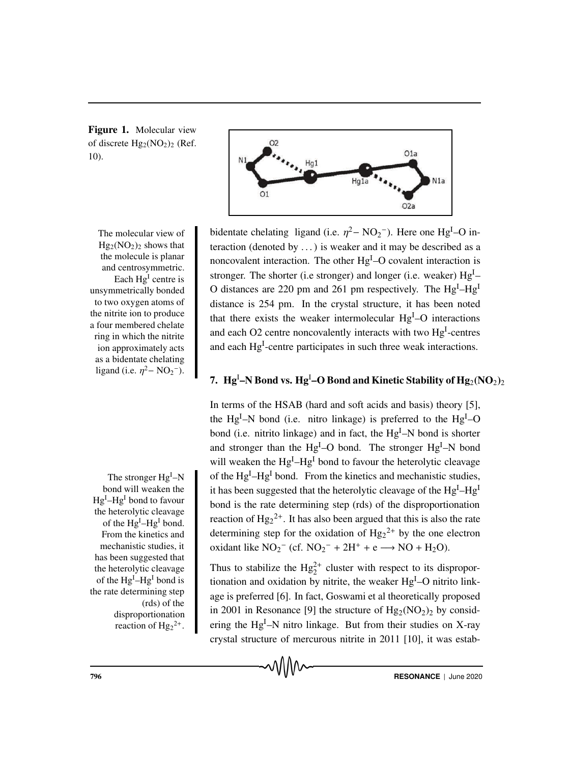Figure 1. Molecular view of discrete  $Hg_2(NO_2)_2$  (Ref. 10).



The molecular view of  $Hg_2(NO_2)_2$  shows that the molecule is planar and centrosymmetric. Each  $Hg<sup>I</sup>$  centre is unsymmetrically bonded to two oxygen atoms of the nitrite ion to produce a four membered chelate ring in which the nitrite ion approximately acts as a bidentate chelating ligand (i.e.  $\eta^2 - NO_2^-$ ).

The stronger Hg<sup>I</sup>-N bond will weaken the Hg<sup>I</sup>–Hg<sup>I</sup> bond to favour the heterolytic cleavage of the Hg<sup>I</sup>–Hg<sup>I</sup> bond. From the kinetics and mechanistic studies, it has been suggested that the heterolytic cleavage of the Hg<sup>I</sup>–Hg<sup>I</sup> bond is the rate determining step (rds) of the disproportionation reaction of  $Hg_2^{2+}$ .

ligand (i.e.  $\eta^2 - NO_2^-$ ). Here one Hg<sup>I</sup>-O interaction (denoted by  $\dots$ ) is weaker and it may be described as a noncovalent interaction. The other Hg<sup>I</sup>-O covalent interaction is stronger. The shorter (i.e stronger) and longer (i.e. weaker) Hg<sup>I</sup>-O distances are 220 pm and 261 pm respectively. The  $Hg<sup>I</sup>-Hg<sup>I</sup>$ distance is 254 pm. In the crystal structure, it has been noted that there exists the weaker intermolecular Hg<sup>I</sup>-O interactions and each O2 centre noncovalently interacts with two Hg<sup>I</sup>-centres and each Hg<sup>I</sup>-centre participates in such three weak interactions.

## 7.  $\rm\,Hg^I\text{-}N$  Bond vs.  $\rm\,Hg^I\text{-}O$  Bond and Kinetic Stability of  $\rm\,Hg_2(NO_2)_2$

In terms of the HSAB (hard and soft acids and basis) theory [5], the Hg<sup>I</sup>-N bond (i.e. nitro linkage) is preferred to the Hg<sup>I</sup>-O bond (i.e. nitrito linkage) and in fact, the Hg<sup>I</sup>-N bond is shorter and stronger than the  $Hg<sup>I</sup>-O$  bond. The stronger  $Hg<sup>I</sup>-N$  bond will weaken the  $Hg^{I}-Hg^{I}$  bond to favour the heterolytic cleavage The stronger  $Hg^{I}-N$  of the  $Hg^{I}-Hg^{I}$  bond. From the kinetics and mechanistic studies, it has been suggested that the heterolytic cleavage of the Hg<sup>I</sup>-Hg<sup>I</sup> bond is the rate determining step (rds) of the disproportionation reaction of  $Hg_2^2$ . It has also been argued that this is also the rate determining step for the oxidation of  $Hg_2^{2+}$  by the one electron oxidant like  $NO_2^-$  (cf.  $NO_2^- + 2H^+ + e \rightarrow NO + H_2O$ ).

> Thus to stabilize the  $Hg_2^{2+}$  cluster with respect to its disproportionation and oxidation by nitrite, the weaker  $Hg<sup>I</sup>$ -O nitrito linkage is preferred [6]. In fact, Goswami et al theoretically proposed in 2001 in Resonance [9] the structure of  $Hg_2(NO_2)_2$  by considering the  $Hg^{I}-N$  nitro linkage. But from their studies on X-ray crystal structure of mercurous nitrite in 2011 [10], it was estab-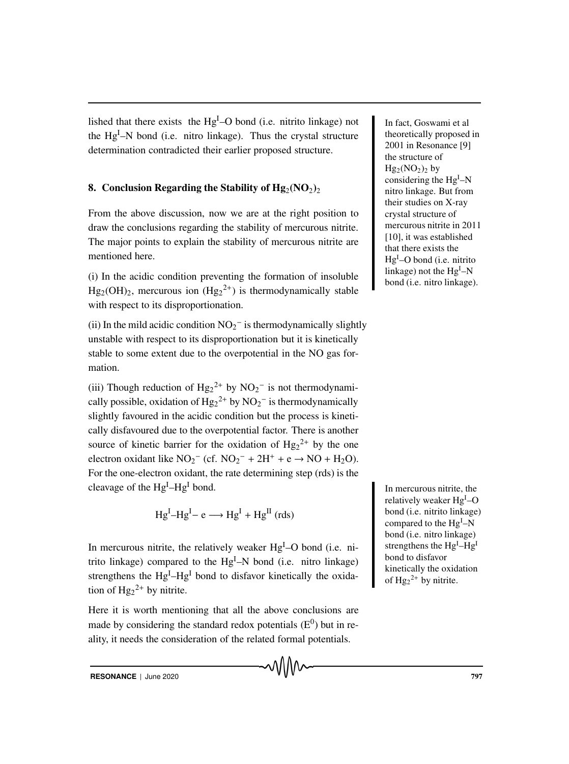lished that there exists the Hg<sup>I</sup>-O bond (i.e. nitrito linkage) not I n fact, Goswami et al the Hg<sup>I</sup>-N bond (i.e. nitro linkage). Thus the crystal structure determination contradicted their earlier proposed structure.

### 8. Conclusion Regarding the Stability of  $Hg_2(NO_2)_2$

From the above discussion, now we are at the right position to draw the conclusions regarding the stability of mercurous nitrite. The major points to explain the stability of mercurous nitrite are mentioned here.

(i) In the acidic condition preventing the formation of insoluble  $Hg_2(OH)_2$ , mercurous ion  $(Hg_2^{2+})$  is thermodynamically stable with respect to its disproportionation.

(ii) In the mild acidic condition  $NO_2^-$  is thermodynamically slightly unstable with respect to its disproportionation but it is kinetically stable to some extent due to the overpotential in the NO gas formation.

(iii) Though reduction of  $Hg_2^{2+}$  by  $NO_2^-$  is not thermodynamically possible, oxidation of  $Hg_2^{2+}$  by  $NO_2^-$  is thermodynamically slightly favoured in the acidic condition but the process is kinetically disfavoured due to the overpotential factor. There is another source of kinetic barrier for the oxidation of  $Hg_2^{2+}$  by the one electron oxidant like  $NO_2^-$  (cf.  $NO_2^- + 2H^+ + e \rightarrow NO + H_2O$ ). For the one-electron oxidant, the rate determining step (rds) is the cleavage of the  $Hg^{I}-Hg^{I}$  bond.

$$
Hg^{I} - Hg^{I} - e \longrightarrow Hg^{I} + Hg^{II} \text{ (rds)}
$$

In mercurous nitrite, the relatively weaker  $Hg<sup>I</sup>-O$  bond (i.e. nitrito linkage) compared to the  $Hg<sup>I</sup> - N$  bond (i.e. nitro linkage) strengthens the Hg<sup>I</sup>-Hg<sup>I</sup> bond to disfavor kinetically the oxidation of  $Hg_2^{2+}$  by nitrite.

Here it is worth mentioning that all the above conclusions are made by considering the standard redox potentials  $(E^0)$  but in reality, it needs the consideration of the related formal potentials.

theoretically proposed in 2001 in Resonance [9] the structure of  $Hg_2(NO_2)$ <sub>by</sub> considering the Hg<sup>I</sup>-N nitro linkage. But from their studies on X-ray crystal structure of mercurous nitrite in 2011 [10], it was established that there exists the Hg<sup>I</sup>-O bond (i.e. nitrito linkage) not the Hg<sup>I</sup>–N bond (i.e. nitro linkage).

In mercurous nitrite, the relatively weaker Hg<sup>I</sup>-O bond (i.e. nitrito linkage) compared to the Hg<sup>I</sup>-N bond (i.e. nitro linkage) strengthens the Hg<sup>I</sup>-Hg<sup>I</sup> bond to disfavor kinetically the oxidation of  $Hg_2^{2+}$  by nitrite.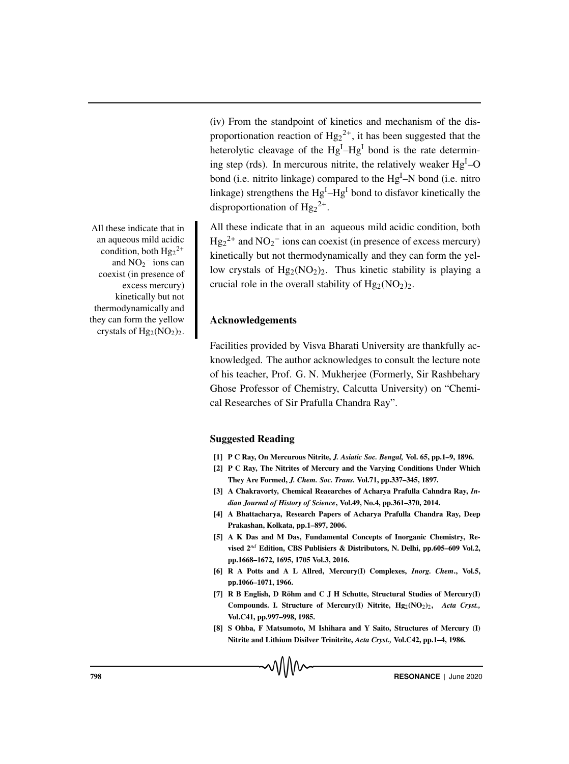(iv) From the standpoint of kinetics and mechanism of the disproportionation reaction of  $Hg_2^{2+}$ , it has been suggested that the heterolytic cleavage of the Hg<sup>I</sup>-Hg<sup>I</sup> bond is the rate determining step (rds). In mercurous nitrite, the relatively weaker  $Hg<sup>I</sup>$ -O bond (i.e. nitrito linkage) compared to the Hg<sup>I</sup>-N bond (i.e. nitro linkage) strengthens the  $Hg<sup>I</sup>-Hg<sup>I</sup>$  bond to disfavor kinetically the disproportionation of  $Hg_2^{2+}$ .

All these indicate that in All these indicate that in an aqueous mild acidic condition, both  $Hg_2^{2+}$  and  $NO_2^-$  ions can coexist (in presence of excess mercury) kinetically but not thermodynamically and they can form the yellow crystals of  $Hg_2(NO_2)_2$ . Thus kinetic stability is playing a crucial role in the overall stability of  $Hg_2(NO_2)_2$ .

#### Acknowledgements

Facilities provided by Visva Bharati University are thankfully acknowledged. The author acknowledges to consult the lecture note of his teacher, Prof. G. N. Mukherjee (Formerly, Sir Rashbehary Ghose Professor of Chemistry, Calcutta University) on "Chemical Researches of Sir Prafulla Chandra Ray".

#### Suggested Reading

- [1] P C Ray, On Mercurous Nitrite, *J. Asiatic Soc. Bengal,* Vol. 65, pp.1–9, 1896.
- [2] P C Ray, The Nitrites of Mercury and the Varying Conditions Under Which They Are Formed, *J. Chem. Soc. Trans.* Vol.71, pp.337–345, 1897.
- [3] A Chakravorty, Chemical Reaearches of Acharya Prafulla Cahndra Ray, *Indian Journal of History of Science*, Vol.49, No.4, pp.361–370, 2014.
- [4] A Bhattacharya, Research Papers of Acharya Prafulla Chandra Ray, Deep Prakashan, Kolkata, pp.1–897, 2006.
- [5] A K Das and M Das, Fundamental Concepts of Inorganic Chemistry, Revised 2*nd* Edition, CBS Publisiers & Distributors, N. Delhi, pp.605–609 Vol.2, pp.1668–1672, 1695, 1705 Vol.3, 2016.
- [6] R A Potts and A L Allred, Mercury(I) Complexes, *Inorg. Chem*., Vol.5, pp.1066–1071, 1966.
- [7] R B English, D Röhm and C J H Schutte, Structural Studies of Mercury(I) Compounds. I. Structure of Mercury(I) Nitrite, Hg<sub>2</sub>(NO<sub>2</sub>)<sub>2</sub>, *Acta Cryst.*, Vol.C41, pp.997–998, 1985.
- [8] S Ohba, F Matsumoto, M Ishihara and Y Saito, Structures of Mercury (I) Nitrite and Lithium Disilver Trinitrite, *Acta Cryst.,* Vol.C42, pp.1–4, 1986.

an aqueous mild acidic condition, both  $Hg_2^{2+}$ and  $NO<sub>2</sub><sup>-</sup>$  ions can coexist (in presence of excess mercury) kinetically but not thermodynamically and they can form the yellow crystals of  $Hg_2(NO_2)_2$ .